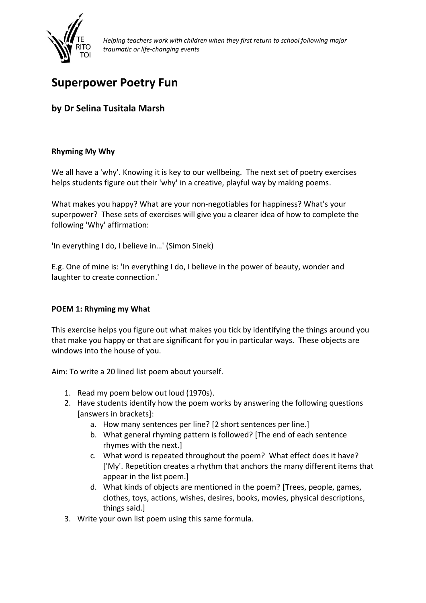

# **Superpower Poetry Fun**

# **by Dr Selina Tusitala Marsh**

## **Rhyming My Why**

We all have a 'why'. Knowing it is key to our wellbeing. The next set of poetry exercises helps students figure out their 'why' in a creative, playful way by making poems.

What makes you happy? What are your non-negotiables for happiness? What's your superpower? These sets of exercises will give you a clearer idea of how to complete the following 'Why' affirmation:

'In everything I do, I believe in…' (Simon Sinek)

E.g. One of mine is: 'In everything I do, I believe in the power of beauty, wonder and laughter to create connection.'

#### **POEM 1: Rhyming my What**

This exercise helps you figure out what makes you tick by identifying the things around you that make you happy or that are significant for you in particular ways. These objects are windows into the house of you.

Aim: To write a 20 lined list poem about yourself.

- 1. Read my poem below out loud (1970s).
- 2. Have students identify how the poem works by answering the following questions [answers in brackets]:
	- a. How many sentences per line? [2 short sentences per line.]
	- b. What general rhyming pattern is followed? [The end of each sentence rhymes with the next.]
	- c. What word is repeated throughout the poem? What effect does it have? ['My'. Repetition creates a rhythm that anchors the many different items that appear in the list poem.]
	- d. What kinds of objects are mentioned in the poem? [Trees, people, games, clothes, toys, actions, wishes, desires, books, movies, physical descriptions, things said.]
- 3. Write your own list poem using this same formula.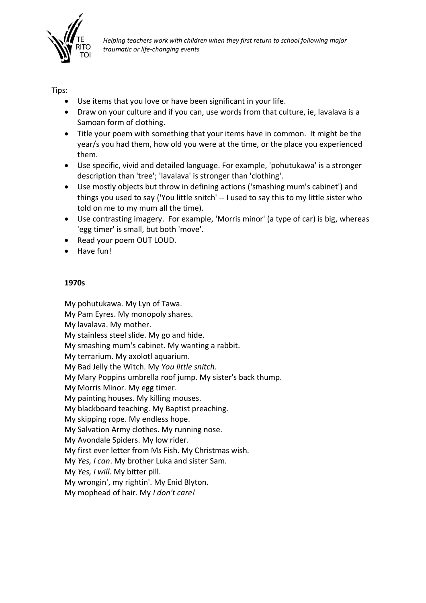

Tips:

- Use items that you love or have been significant in your life.
- Draw on your culture and if you can, use words from that culture, ie, lavalava is a Samoan form of clothing.
- Title your poem with something that your items have in common. It might be the year/s you had them, how old you were at the time, or the place you experienced them.
- Use specific, vivid and detailed language. For example, 'pohutukawa' is a stronger description than 'tree'; 'lavalava' is stronger than 'clothing'.
- Use mostly objects but throw in defining actions ('smashing mum's cabinet') and things you used to say ('You little snitch' -- I used to say this to my little sister who told on me to my mum all the time).
- Use contrasting imagery. For example, 'Morris minor' (a type of car) is big, whereas 'egg timer' is small, but both 'move'.
- Read your poem OUT LOUD.
- Have fun!

#### **1970s**

My pohutukawa. My Lyn of Tawa. My Pam Eyres. My monopoly shares. My lavalava. My mother. My stainless steel slide. My go and hide. My smashing mum's cabinet. My wanting a rabbit. My terrarium. My axolotl aquarium. My Bad Jelly the Witch. My *You little snitch*. My Mary Poppins umbrella roof jump. My sister's back thump. My Morris Minor. My egg timer. My painting houses. My killing mouses. My blackboard teaching. My Baptist preaching. My skipping rope. My endless hope. My Salvation Army clothes. My running nose. My Avondale Spiders. My low rider. My first ever letter from Ms Fish. My Christmas wish. My *Yes, I can*. My brother Luka and sister Sam. My *Yes, I will*. My bitter pill. My wrongin', my rightin'. My Enid Blyton. My mophead of hair. My *I don't care!*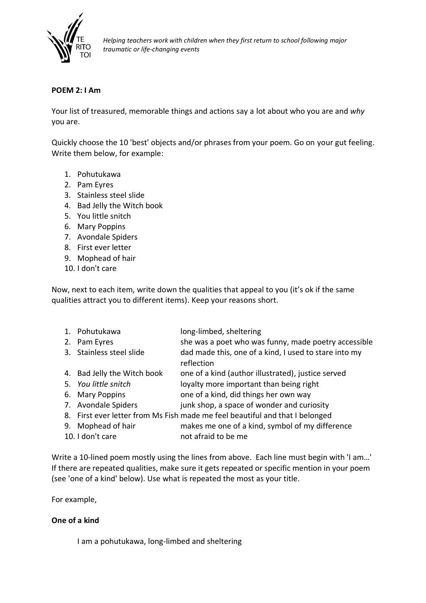

#### **POEM 2: I Am**

Your list of treasured, memorable things and actions say a lot about who you are and *why*  you are.

Quickly choose the 10 'best' objects and/or phrases from your poem. Go on your gut feeling. Write them below, for example:

- 1. Pohutukawa
- 2. Pam Eyres
- 3. Stainless steel slide
- 4. Bad Jelly the Witch book
- 5. You little snitch
- 6. Mary Poppins
- 7. Avondale Spiders
- 8. First ever letter
- 9. Mophead of hair
- 10. I don't care

Now, next to each item, write down the qualities that appeal to you (it's ok if the same qualities attract you to different items). Keep your reasons short.

| 1. Pohutukawa               | long-limbed, sheltering                                                      |
|-----------------------------|------------------------------------------------------------------------------|
| 2. Pam Eyres                | she was a poet who was funny, made poetry accessible                         |
| 3. Stainless steel slide    | dad made this, one of a kind, I used to stare into my                        |
|                             | reflection                                                                   |
| 4. Bad Jelly the Witch book | one of a kind (author illustrated), justice served                           |
| 5. You little snitch        | loyalty more important than being right                                      |
| 6. Mary Poppins             | one of a kind, did things her own way                                        |
| 7. Avondale Spiders         | junk shop, a space of wonder and curiosity                                   |
|                             | 8. First ever letter from Ms Fish made me feel beautiful and that I belonged |

- 9. Mophead of hair makes me one of a kind, symbol of my difference
- 10. I don't care not afraid to be me

Write a 10-lined poem mostly using the lines from above. Each line must begin with 'I am…' If there are repeated qualities, make sure it gets repeated or specific mention in your poem (see 'one of a kind' below). Use what is repeated the most as your title.

For example,

#### **One of a kind**

I am a pohutukawa, long-limbed and sheltering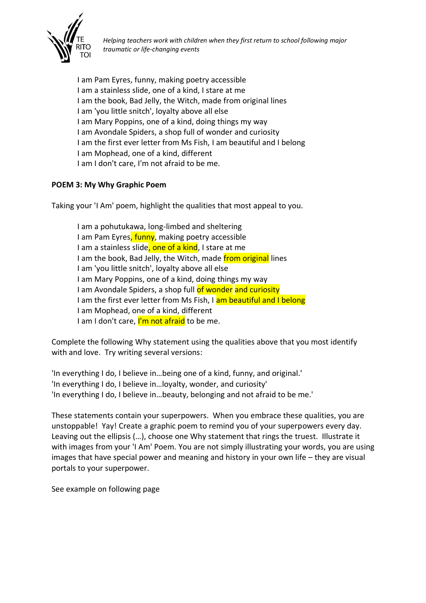

I am Pam Eyres, funny, making poetry accessible I am a stainless slide, one of a kind, I stare at me I am the book, Bad Jelly, the Witch, made from original lines I am 'you little snitch', loyalty above all else I am Mary Poppins, one of a kind, doing things my way I am Avondale Spiders, a shop full of wonder and curiosity I am the first ever letter from Ms Fish, I am beautiful and I belong I am Mophead, one of a kind, different I am I don't care, I'm not afraid to be me.

## **POEM 3: My Why Graphic Poem**

Taking your 'I Am' poem, highlight the qualities that most appeal to you.

I am a pohutukawa, long-limbed and sheltering I am Pam Eyres, funny, making poetry accessible I am a stainless slide, one of a kind, I stare at me I am the book, Bad Jelly, the Witch, made from original lines I am 'you little snitch', loyalty above all else I am Mary Poppins, one of a kind, doing things my way I am Avondale Spiders, a shop full of wonder and curiosity I am the first ever letter from Ms Fish, I am beautiful and I belong I am Mophead, one of a kind, different I am I don't care, I'm not afraid to be me.

Complete the following Why statement using the qualities above that you most identify with and love. Try writing several versions:

'In everything I do, I believe in…being one of a kind, funny, and original.' 'In everything I do, I believe in…loyalty, wonder, and curiosity' 'In everything I do, I believe in…beauty, belonging and not afraid to be me.'

These statements contain your superpowers. When you embrace these qualities, you are unstoppable! Yay! Create a graphic poem to remind you of your superpowers every day. Leaving out the ellipsis (…), choose one Why statement that rings the truest. Illustrate it with images from your 'I Am' Poem. You are not simply illustrating your words, you are using images that have special power and meaning and history in your own life – they are visual portals to your superpower.

See example on following page